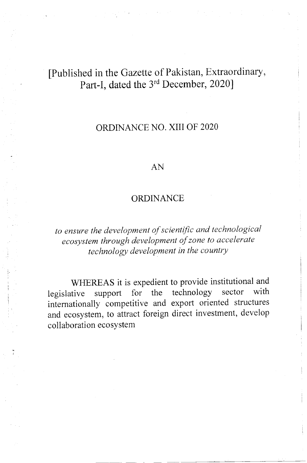## fPublished in the Gazette of Pakistan, Extraordinary, Part-I, dated the 3<sup>rd</sup> December, 2020]

## ORDINANCE NO. XIII OF 2O2O

## AN

## **ORDINANCE**

to ensure the development of scientific and technological ecosystem through development of zone to accelerate technology development in the country

WHEREAS it is expedient to provide institutional and<br>tive support for the technology sector with legislative support for the technology sector with internationally competitive and export oriented structures and ecosystem, to attract foreign direct investment, develop collaboration ecosystem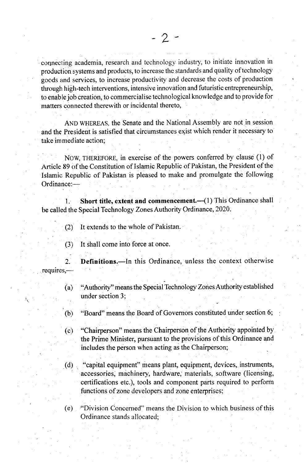connecting academia, research and technology industry, to initiate innovation in production systems and products, to increase the standards and quality of technology goods and services, to increase productiviry and decrease the costs of production through high-tech interventions, intensive innovation and futuristic entrepreneurship, to enable job creation, to commercialise technological knowledge and to provide for matters connected therewith or incidental thereto,

AND wHEREAS, the Senate and the National Assernbly are not in session and the President is satisfied that circumstances exist which render it necessary to take immediate action;

Now, THEREFoRE, in exercise of the powers conferred by clause (l) of Article 89 of the Constitution of Islamic Republic of Pakistan, the President of the Islamic Republic of Pakistan is pleased to make and promulgate the following Ordinance:-

1. Short title, extent and commencement. (1) This Ordinance shall be called the Special Technology Zones Authority Ordinance, 2020.

- $(2)$  It extends to the whole of Pakistan.
- $(3)$  It shall come into force at once.

2. Definitions.-In this Ordinance, unless the context otherwise requires,-

- (a) "Authority" means the Special Technology Zones Authority established under section 3;
- (b) "Board" means the Board of Governors constituted under section 6;
- (c) "Chairperson" means the Chairperson of the Authority appointed by the Prime Minister, pursuant to the provisions of this Ordinance and includes the person when acting as the Chairperson;
- $(d)$ "capital equipment" means plant, equiprnent, devices, instruments, accessories, machinery, hardware, materials, software (licensing, certifications etc.), tools and component parts required to perform functions of zone developers and zone enterprises;

(e) "Division Concenred" means the Division to which business of this Ordinance stands <sup>a</sup>I Iocated;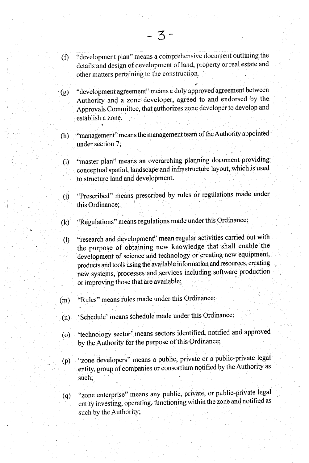- $(6)$  "development plan" means a comprehensive document outlining the details and design of development of land, property or real estate and other matters pertaining to the construction-.
- (g) "development agreement" means a duly approved agreement between Authorify and a zone'developer, agreed to and endorsed by the Approvals Committee, that authorizes zone developer to develop and establish a zone.
- (h) " "management" means the management team of the Authority appointed under section 7;
- (i) "master plan" means an overarching planning document providing conceptual spatial, landscape and infrastrucfure layout, which is used to structure Iand and development.
- (i) "Prescribed" means prescribed by rules or regulations made under this Ordinance;
- (k) "Regulations?' means regulations made under this Ordinance;
- (l) "research and development" mean regular activities carried out with the purpose of obtaining new knowledge that shall enable the development of science and technology or creating new equipment, products and tools using the available information and resources, creating new systems, processes and services including software production or improving those that are avaitable;
- (m) "Rules" means rules made under this Ordinance;
- (n) 'Schedule' means schedule made under this Ordinance;
- (o) technology sector<sup>;</sup> means sectors identified, notified and approved by the Authority for the purpose of this Ordinance;
- "zone developers" means a public, private or a public-private legal  $(p)$ entity, group of companies or consortium notified by the Authority as such;
- (q) "zone enterprise" means any public, private, or public-private legal such by the Authority;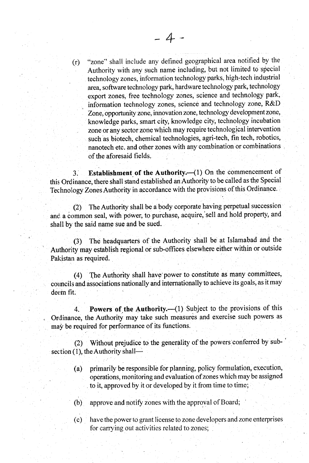"zone" shall include any defined geographical area notified by the (r) Authority with any such name including, but not limited to special technology zones, information technology parks, high-tech industrial area, software technology park, hardware technology park, technology export zones, free technology zones, science and technology park; , information technology zones, science and technology zone, R&l) Zone, opportunity zone, innovation zone, technology development zone, knowledge parks, smart city, knowledge city, technology incubation zone or any sector zone which may require technological intervention such'as biotech, chemical technologies, agri-tech, fin tech, robotics, nanotech etc. and other zones with any combination or combinations of the aforesaid fields.

3. Establishment of the Authority. $-(1)$  On the commencement of this Ordinance, there shall stand established an Authority to be called as the Special Technology Zones Authority in accordance with the provisions of this Ordinance.

 $(2)$  The Authority shall be a body corporate having perpetual succession and a common seal, with power, to purchase, acquire, sell and hold property, and shall by the said name sue and be sued.

The headquarters of the Authority shall be at Islamabad and the Authority may establish regional or sub-offices elsewhere either within or outsicle Pakistan as required.

(4) fhe Authority shall have power to constitute as many committees, councils and associations nationally and internationally to achieve its goals, as it may deem fit.

4. Powers of the Authority. (1) Subject to the provisions of this Ordinance, the Authority may take such measures and exercise such powers as may be required for performance of its functions.

(2) Without prejudice to the generality of the powers conferred by subsection (1), the Authority shall-

- (a) primarily be responsible for planning, policy formulation, execution, operations, monitoring and evaluation of zones which may be assigned to it, approved by it or developed by it from time to time;
- (b) approve and notify zones with the approval of Board;
- (c) have the power to grant license to zone developers and zone enterprises for carrying out activities related to zones;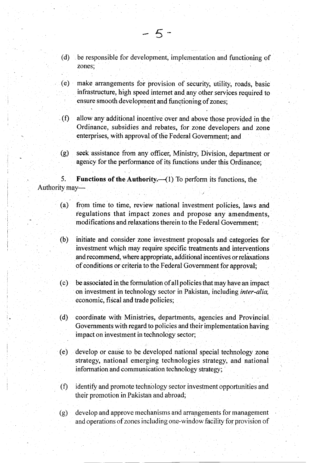- (d) be responsible for development, implementation and functioning of zones;
- (e) make arrangements for provision of security, utility, roads, basic ensure smooth development and functioning of zones;
- (f) allow any additional incentive over and above those provided in the Ordinance, subsidies and rebates, for zone developers and zone enterprises, with approval of the Federal Government; and
- (g) seek assistance from any officer, Ministry, Division, departmept or agency for the performance of its functions under this Ordinance;

5. Functions of the Authority.— $(1)$  To perform its functions, the Authority may-

- (a) from time to time, review national investment poticies, laws and fegulations that impact zones and propose any amendments, modifications and relaxations therein to the Federal Government;
- (b) initiate and consider zone investrnent proposals and.categories for investment which may require specific treatments and interventions and recommend, where appropriate, additional incentives or relaxations of conditions or criteria to the Federal Government for approval;
- (c) be associated in the formulation of all policies that may have an impact on investment in technology sector in Pakistan, including inter-alia, economic, fiscal and trade policies;
- (d) coordinate with Ministries, departments, agencies and Provincial Governments with regard to policies and their implementation having impact on investment in technology sector;
- (e) develop or cause to be developed national special technology zone strategy, national emerging technologies strategy, and national information and communication technology strategy;
- $(f)$  identify and promote technology sector investment opportunities and their promotion in Pakistan and abroad;
- (g) develop and approve mechanisms and arrangements for management and operations of zones including one-window facility for provision of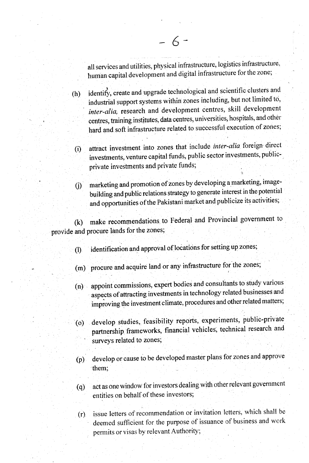all services and utilities, physical infrastructure, logistios infrastructure, human capital development and digital infrastructure for the zone;

(h) identify, create and upgrade technological and scientific clusters and industrial support systems within zones including, but not lirnited to, inter-alia, research and development centres, skill development centres, training institutes, data centres, universities, hospitals, and other hard and soft infrastructure related to successful execution of zones;

 $-6-$ 

attract investment into zones that include *inter-alia* foreign direct investments, venture capital funds, public sector investments, publicprivate invesfinents and private funds; (i)

:

marketing and promotion of zones by developing a marketing, imagebuilding and public relations strategy to generate interest in the potential and opportunities of the Pakistani market and publicize its activities;  $(i)$ 

(k) make recommendations to Federal and Provincial government to provide and procure lands for the zones;

- (l) identification and approval of locations for setting up zones;
- (m) procure and acquire land or any infrastructure for the zones;
- (n) appoint commissions, expert bodies and consultants to study various aspects of attracting investments in technology related businesses and improving the investment climate, procedures and other related matters;
- (o) develop studies, feasibility reports, experiments, public-private partnership frameworks, financial vehicles, technical research and surveys related to zones;
- (p) develop or cause to be developed rnaster plans for zones and approve them;
- (q) act as one window for investors dealing with other relevant government entities on behalf of these investors;
- issue letters of recommendation or invitation letters, which shall be deemed sufficient for the purpose of issuance of business and work permits or visas by relevant Authority;  $(r)$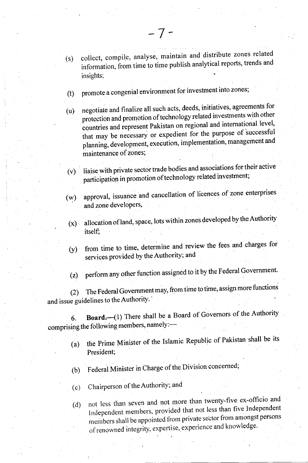- (t) promote a congenial environment for investment into zones;
- $(u)$  negotiate and finalize all such acts, deeds, initiatives, agreements for protection and promotion of technology related investments with other countries and represent Pakistan on regional and international level, that may be necessary or expedient for the purpose of successful planning, development, execution, implementation, management and
- liaise with private sector trade bodies and associations for their active participation in promotion of technology related investment; (v)
- approval, issuance and cancellation of licences of zone enterprises and zone developers, (w)
	- $(x)$  allocation of land, space, lots within zones developed by the Authority itself;
- from time to time, determine and review the fees and charges for services provided by the Authority; and  $(y)$

(z) perform any other function assigned to it by the Federal Government.

(2) The Federal Government may, from time to time, assign more functions and issue guidelines to the Authority.'

6. Board. $\left(1\right)$  There shall be a Board of Governors of the Authority comprising the following members, namely:-

- (a) the Prime Minister of the Islamic Republic of Pakistan shall be its President;
- (b) Federal Minister in Charge of the Division concerned;
- (c) Chairperson of the Authority; and
- (d) not less than seven and not more than twenty-five ex-officio and Independent members, provided that not less than five Independent members shall be appointed from private sector from amongst persons of renowned integrity, expertise, experience and knowledge.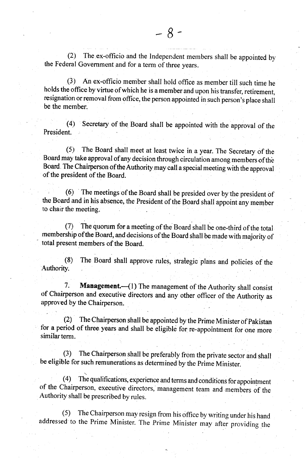(2) The ex-officio and the lndependent members shall be appointed by the Federal Govemment and for a term of three years.

(3 ) An ex-officio member shall hold office as member till such time he holds the office by virtue of which he is a member and upon his transfer, retirement, resignation or removal from office, the person appointed in such person's place shall be the member.

(4) secretary of the Board shall be appointed with the approval of the President.

(5) The Board shall meet at least twice in a year. The Secretary of the Board may take approval of any decision through circulation among members of the Board. The Chairperson of the Authority may call a special meeting with the approval<br>of the president of the Board of the president of the Board.

 $(6)$  The meetings of the Board shall be presided over by the president of the Board and in his absence, the President of the Board shall appoint any member to chair the meeting

(7) The quorum for a meeting of the Board shall be one-third of the total membership of the Board, and decisions of the Board shall be made with majority of total present members of the Board

(8) The Board shall approve rules, strategic plans and policies of the Authority.

7. Management. (1) The management of the Authority shall consist of Chairperson and executive directors and any other officer of the Authority as approved by the Chairperson

(2) The Chairperson shall be appointed by the Prime Minister of Pakistan for a period of three years and shall be eligible for re-appointment for one more similar term.

(3) The Chairperson shall be preferably from the private sector and shall be eligible for such remunerations as determined by the prime Minister.

(4) The qualifications, experience and terms and conditions for appointment of the Chairperson, executive directors, management team and members of the Authority shall be prescribed by rules.

(5) The chairperson may resign from his office by writing under his hand addressed to the Prime Minister. The prime Minister may after providing the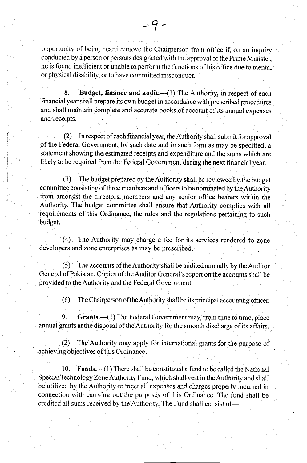opportunity of being heard remove the Chairperson from office if, on an inquiry conducted by a person or persons designated with the approval ofthe Prime Minister, he is found inefficient or unable to perform the functions of his office due to mental or physical disability, or to have committed misconduct.

8. Budget, finance and audit.  $-(1)$  The Authority, in respect of each financial year shall prepare its own budget in accordance with prescribed procedures and shali maintain complete and accurate books of account of its annualexpenses and receipts

(2) In respect of each financial year, the Authority shall submit for approva[ of the Federal Government, by such date and in such form as may be specified, a statement showing the estimated receipts and expenditure and the sums which are Iikely to be required from the Federal Government during the next financialyear.

(3) The budget prepared by the Authority shall be reviewed'by.the budget committee consisting of three members and officers to be nominated by the Authority from amongst the directors, members and any senior office bearers within the Authority. The budget committee shall ensure that Authority complies with all requirements of this Ordinance, the rules and the regulations pertaining to such budget.

(4) The Authority may charge a fee for its services rendered to zone developers and zone enterprises as may be prescribed.

 $(5)$  The accounts of the Authority shall be audited annually by the Auditor General of Pakistan. Copies of the Auditor General's report on the accounts shall be provided to the Authority and the Federal Government.

 $(6)$  The Chairperson of the Authority shall be its principal accounting officer.

9. Grants. (1) The Federal Government may, from time to time, place annual grants at the disposal of the Authority for the smooth discharge of its affairs.

(2) The Authority may apply for international grants for the purpose of achieving objectives of this Ordinance.

10. Funds. (1) There shall be constituted a fund to be called the National Special Technology Zone Authority Fund, which shall vest in the Authority and shall be utilized by the Authority to meet alI expenses and charges properly incurred in connection with carrying out the purposes of this Ordinance. The fund shall be credited all sums received by the Authority. The Fund shall consist of-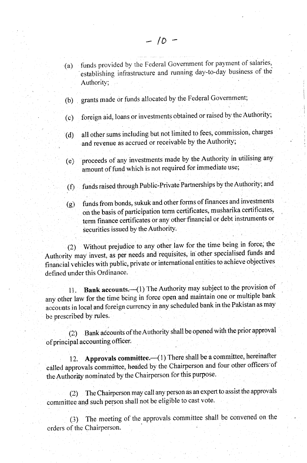- (a) funds provided by the Federal Government for payment of salaries, 'establishing infrastructure and running day-to-day business of the AuthoritY;
- (b) grants made or funds allocated by the Federal Governrnent;
- (c) foreign aid, loans or investments obtained or raised by the Authority;
- (d) all other sums including but not limited to fees, commission, charges and revenue as accrued or receivable by the Authority;
- proceeds of any investments made by the Authority in utilising any amount of fund which is not required for immediate use; (e)
- funds raised through Public-Private Partnerships by theAuthorily; and  $(f)$
- $(g)$  funds from bonds, sukuk and other forms of finances and investments on the basis of participation term certificates, musharika certificates, term finance certificates or any other'financial or debt instruments or securities issued by the Authority.

(2) Without prejudice to any other law for the time being in force, the Authority may invest, as per needs and requisites, in other specialised funds and financial vehicles with public, private or international entities to achieve objectives defined under this Ordinance.

11. Bank accounts. (1) The Authority may subject to the provision of any other law for the time being in force open and maintain one or multiple bank accounts in local and foreign currency in any scheduled bank in the Pakistan as may be prescribed by rules.

(2) Bank accounts of the Authority shall be opened with the prior approval of principal accounting officer.

12. Approvals committee. (1) There shall be a committee, hereinafter called approvals committee, headed by the Chairperson and four other officers of the Authority nominated by the Chairperson for this purpose.

(2) The Chairperson may call any person as an expert to assist the approvals committee and such person shall not be eligible to cast vote.

(3) The rneeting of the approvals committee shall be convened on the orders of the Chairperson.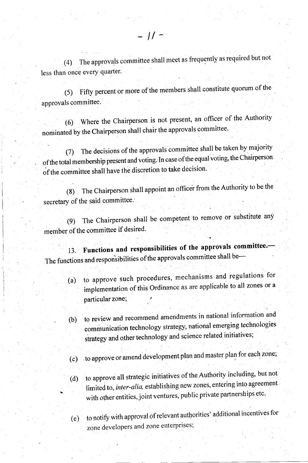(4) The approvals committee shall meet as frequently as required but not less than once every quarter.

(5) Fifty percent or more of the members shall constitute quorum of the approvals committee.

(6) Where the Chairperson is not present, an officer of the Authority nominated by the Chairperson shall chair the approvals committee.

(7) The decisions of the approvals committee shall be taken by majority ofthe total membership present and voting. In case ofthe equal voting, the chairperson of the committee shall have the discretion to take decision.

(8) The Chairperson shall appoint an officer from the Authority to be the secretary of the said committee.

(9) The Chairperson shall be competent to remove or substitute any member of the committee if desired.

13. Functions and responsibilities of the approvals committee. The functions and responsibilities of the approvals committee shall be---

- (a) to approve such procedures, mechanisms and regulations for implementation of this Ordinance as are applicable to all zones or a particular zone;
- (b) to review and recommend amendments in national information and communication technology strategy, national emerging technologies strategy and other technology and science related initiatives;
- (c) to approve or amend development plan and master plan for each zone;
- (d) to approve all strategic initiatives of the Authority including, but not limited to, inter-alia, establishing new zones, entering into agreement. with other entities, joint ventures, public private partnerships etc.

 $(e)$  to notify with approval of relevant authorities' additional incentives for zone developers and zone enterprises;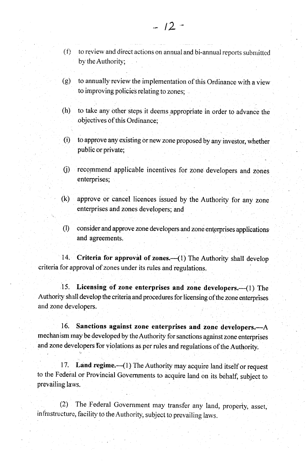- by the Authority;
- $(g)$  to annually review the implementation of this Ordinance with a view to improving policies relating to zones; .
- (h) to take any other steps it deems appropiiate in order to advance the objectives of this Ordinance;
- (i) to approve any existing or new zone proposed by any investor, whether public or private;
- 0) recommend applicable incentives for zone developers and zones enterprises;
- (k) approve or cancel lioences issued by the Authority for any zone enterprises and zones developers; and
- (I) consider and approve zone developers and zone enterprises applications and agreements.

14. Criteria for approval of zones.—(1) The Authority shall develop criteria for approval of zones under its rules and regulations.

15. Licensing of zone enterprises and zone developers. -- (1) The Authoriry shall develop the criteria and procedures for licensing of the zone enterprises and zone developers.

16. Sanctions against zone enterprises and zone developers. $-A$ mechanism may be developed by the Authority for sanctions against zone enterprises and zone developers for violations as per rules and regulations of the Authority.

17. Land regime. (1) The Authority may acquire land itself or request to the Federal or Provincial Governments to acquire land on its behalf, subject to prevailing laws.

(2) The Federal Government may transfer any land, property, asset, in frastructure, facility to the Authority, subject to prevailing laws.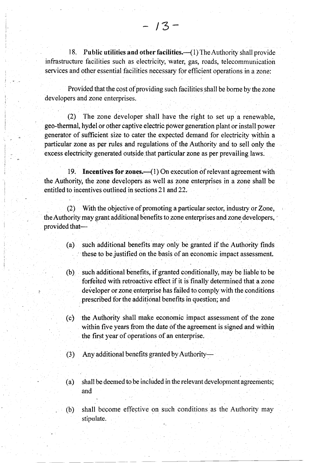18. Public utilities and other facilities.—(1) The Authority shall provide infrastructure facilities such as electricity, water, gas, roads, telecommunication services and other essential facilities necessary for efficient operations in a zone:

Provided that the cost of providing such facilities shall be bome by the zone developers and zone enterprises.

(2) The zone developer shall have the right to set up a renewable, geo-thermal, hydel or other captive electric power generation plant or install power generator of sufficient size to cater the expected demand for electricity within a particular zone as per rules and regulations of the Authority and to sell only the excess electricity generated outside that particular zone as per prevailing laws.

19. Incentives for zones.—(1) On execution of relevant agreement with the Authority, the zone developers as well as zone enterprises in a zone shall be entitled to incentives outlined in sections 21 and 22.

(2) With the objective of promoting a particular seetor, industry or Zone, the Authority may grant additional benefits to zone enterprises and zone developers, provided that-

- (a) such additional benefits may only be granted if the Authority finds these to be justified on the basis of an economic impact assessment.
- (b) such additional benefits, if granted conditionally, may be liable to be forfeited with retroactive effect if it is finally determined that a zone developer or zone enterprise has failed to comply with the conditions prescribed for the additional benefits in question; and
- (c) the Aufhority shall make economic impact assessment of the zone within five years from the date of the agreement is signed and within the first year of operations of an enterprise.
- (3) Any additional benefits granted byAuthority
- (a) shall be deemed to be included in the relevant development agreements; and
- (b) shall become effective on such conditions as the Authority may stipulate.